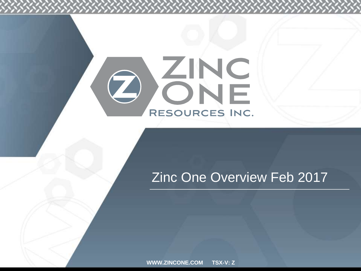# OGNE RESOURCES INC.

### Zinc One Overview Feb 2017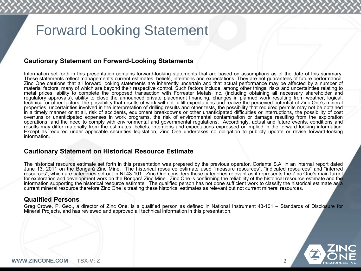# Forward Looking Statement

#### **Cautionary Statement on Forward-Looking Statements**

Information set forth in this presentation contains forward-looking statements that are based on assumptions as of the date of this summary. These statements reflect management's current estimates, beliefs, intentions and expectations. They are not guarantees of future performance. Zinc One cautions that all forward looking statements are inherently uncertain and that actual performance may be affected by a number of material factors, many of which are beyond their respective control. Such factors include, among other things: risks and uncertainties relating to metal prices, ability to complete the proposed transaction with Forrester Metals Inc. (including obtaining all necessary shareholder and regulatory approvals), ability to close the announced private placement financing, changes in planned work resulting from weather, logical, technical or other factors, the possibility that results of work will not fulfill expectations and realize the perceived potential of Zinc One's mineral properties, uncertainties involved in the interpretation of drilling results and other tests, the possibility that required permits may not be obtained in a timely manner or at all, risk of accidents, equipment breakdowns or other unanticipated difficulties or interruptions, the possibility of cost overruns or unanticipated expenses in work programs, the risk of environmental contamination or damage resulting from the exploration operations, and the need to comply with environmental and governmental regulations. Accordingly, actual and future events, conditions and results may differ materially from the estimates, beliefs, intentions and expectations expressed or implied in the forward looking information. Except as required under applicable securities legislation, Zinc One undertakes no obligation to publicly update or revise forward-looking information.

#### **Cautionary Statement on Historical Resource Estimate**

The historical resource estimate set forth in this presentation was prepared by the previous operator, Corianta S.A. in an internal report dated June 13, 2011 on the Bongará Zinc Mine. The historical resource estimate used "measure resources", "indicated resources" and "inferred resources", which are categories set out in NI 43-101. Zinc One considers these categories relevant as it represents the Zinc One's main target for exploration and development work on the Bongará Zinc Mine. Zinc One is confirming the reliability of the historical resource estimate and the information supporting the historical resource estimate. The qualified person has not done sufficient work to classify the historical estimate as a current mineral resource therefore Zinc One is treating these historical estimates as relevant but not current mineral resources.

#### **Qualified Persons**

Greg Crowe, P. Geo., a director of Zinc One, is a qualified person as defined in National Instrument 43-101 – Standards of Disclosure for Mineral Projects, and has reviewed and approved all technical information in this presentation.

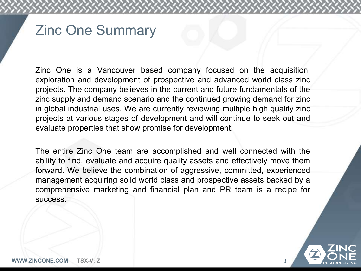# Zinc One Summary

Zinc One is a Vancouver based company focused on the acquisition, exploration and development of prospective and advanced world class zinc projects. The company believes in the current and future fundamentals of the zinc supply and demand scenario and the continued growing demand for zinc in global industrial uses. We are currently reviewing multiple high quality zinc projects at various stages of development and will continue to seek out and evaluate properties that show promise for development.

The entire Zinc One team are accomplished and well connected with the ability to find, evaluate and acquire quality assets and effectively move them forward. We believe the combination of aggressive, committed, experienced management acquiring solid world class and prospective assets backed by a comprehensive marketing and financial plan and PR team is a recipe for success.

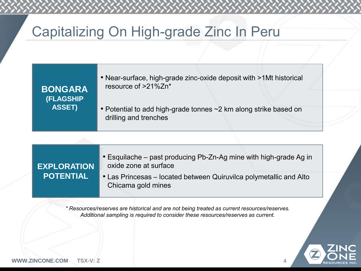# Capitalizing On High-grade Zinc In Peru

| <b>BONGARA</b><br><b>(FLAGSHIP</b><br><b>ASSET)</b> | • Near-surface, high-grade zinc-oxide deposit with >1Mt historical<br>resource of >21%Zn* |
|-----------------------------------------------------|-------------------------------------------------------------------------------------------|
|                                                     | • Potential to add high-grade tonnes ~2 km along strike based on<br>drilling and trenches |

| <b>EXPLORATION</b><br><b>POTENTIAL</b> | • Esquilache – past producing Pb-Zn-Ag mine with high-grade Ag in<br>oxide zone at surface |
|----------------------------------------|--------------------------------------------------------------------------------------------|
|                                        | • Las Princesas – located between Quiruvilca polymetallic and Alto<br>Chicama gold mines   |

*\* Resources/reserves are historical and are not being treated as current resources/reserves. Additional sampling is required to consider these resources/reserves as current.*

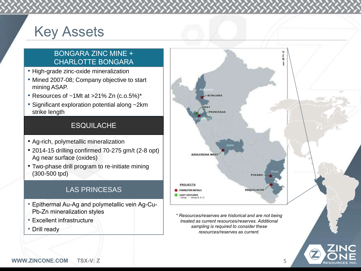# Key Assets

### BONGARA ZINC MINE + CHARLOTTE BONGARA

- High-grade zinc-oxide mineralization
- Mined 2007-08; Company objective to start mining ASAP.
- Resources of ~1Mt at >21% Zn (c.o.5%)\*
- Significant exploration potential along ~2km strike length

### **ESQUILACHE**

- Ag-rich, polymetallic mineralization
- 2014-15 drilling confirmed 70-275 gm/t (2-8 opt) Ag near surface (oxides)
- Two-phase drill program to re-initiate mining (300-500 tpd)

### LAS PRINCESAS

- Epithermal Au-Ag and polymetallic vein Ag-Cu-Pb-Zn mineralization styles
- Excellent infrastructure
- Drill ready



*\* Resources/reserves are historical and are not being treated as current resources/reserves. Additional sampling is required to consider these resources/reserves as current.*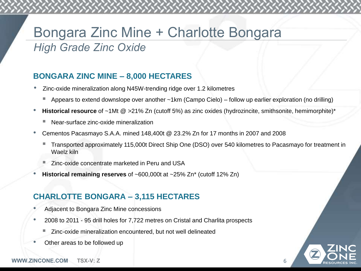### Bongara Zinc Mine + Charlotte Bongara *High Grade Zinc Oxide*

### **BONGARA ZINC MINE – 8,000 HECTARES**

- Zinc-oxide mineralization along N45W-trending ridge over 1.2 kilometres
	- Appears to extend downslope over another ~1km (Campo Cielo) follow up earlier exploration (no drilling)
- **Historical resource** of ~1Mt @ >21% Zn (cutoff 5%) as zinc oxides (hydrozincite, smithsonite, hemimorphite)\*
	- Near-surface zinc-oxide mineralization
- Cementos Pacasmayo S.A.A. mined 148,400t @ 23.2% Zn for 17 months in 2007 and 2008
	- Transported approximately 115,000t Direct Ship One (DSO) over 540 kilometres to Pacasmayo for treatment in Waelz kiln
	- Zinc-oxide concentrate marketed in Peru and USA
- **Historical remaining reserves** of ~600,000t at ~25% Zn\* (cutoff 12% Zn)

### **CHARLOTTE BONGARA – 3,115 HECTARES**

- Adjacent to Bongara Zinc Mine concessions
- 2008 to 2011 95 drill holes for 7,722 metres on Cristal and Charlita prospects
	- Zinc-oxide mineralization encountered, but not well delineated
- Other areas to be followed up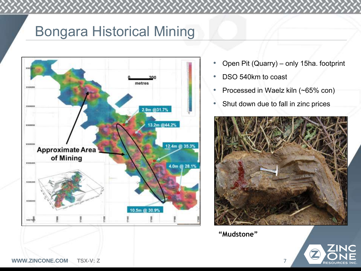# Bongara Historical Mining



- Open Pit (Quarry) only 15ha. footprint
- DSO 540km to coast
- Processed in Waelz kiln (~65% con)
- Shut down due to fall in zinc prices



**"Mudstone"** 

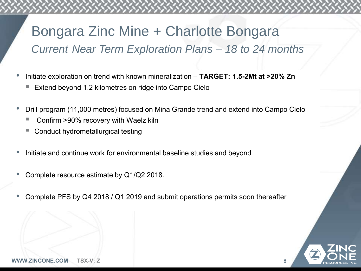# Bongara Zinc Mine + Charlotte Bongara

### *Current Near Term Exploration Plans – 18 to 24 months*

- Initiate exploration on trend with known mineralization **TARGET: 1.5-2Mt at >20% Zn**
	- Extend beyond 1.2 kilometres on ridge into Campo Cielo
- Drill program (11,000 metres) focused on Mina Grande trend and extend into Campo Cielo
	- Confirm >90% recovery with Waelz kiln
	- Conduct hydrometallurgical testing
- Initiate and continue work for environmental baseline studies and beyond
- Complete resource estimate by Q1/Q2 2018.
- Complete PFS by Q4 2018 / Q1 2019 and submit operations permits soon thereafter

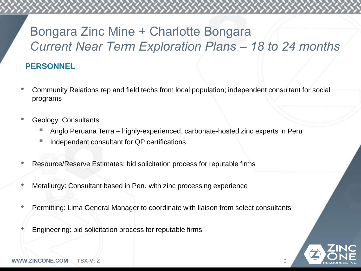# Bongara Zinc Mine + Charlotte Bongara *Current Near Term Exploration Plans – 18 to 24 months*

### **PERSONNEL**

- Community Relations rep and field techs from local population; independent consultant for social programs
- Geology: Consultants
	- Anglo Peruana Terra highly-experienced, carbonate-hosted zinc experts in Peru
	- Independent consultant for QP certifications
- Resource/Reserve Estimates: bid solicitation process for reputable firms
- Metallurgy: Consultant based in Peru with zinc processing experience
- Permitting: Lima General Manager to coordinate with liaison from select consultants
- Engineering: bid solicitation process for reputable firms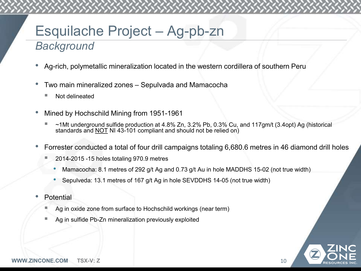### Esquilache Project – Ag-pb-zn *Background*

- Ag-rich, polymetallic mineralization located in the western cordillera of southern Peru
- Two main mineralized zones Sepulvada and Mamacocha
	- Not delineated
- Mined by Hochschild Mining from 1951-1961
	- ~1Mt underground sulfide production at 4.8% Zn, 3.2% Pb, 0.3% Cu, and 117gm/t (3.4opt) Ag (historical standards and NOT NI 43-101 compliant and should not be relied on)
- Forrester conducted a total of four drill campaigns totaling 6,680.6 metres in 46 diamond drill holes
	- 2014-2015 -15 holes totaling 970.9 metres
		- Mamacocha: 8.1 metres of 292 g/t Ag and 0.73 g/t Au in hole MADDHS 15-02 (not true width)
		- Sepulveda: 13.1 metres of 167 g/t Ag in hole SEVDDHS 14-05 (not true width)
- Potential
	- Ag in oxide zone from surface to Hochschild workings (near term)
	- Ag in sulfide Pb-Zn mineralization previously exploited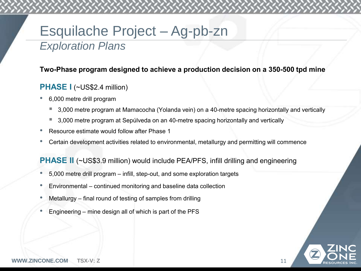### Esquilache Project – Ag-pb-zn *Exploration Plans*

### **Two-Phase program designed to achieve a production decision on a 350-500 tpd mine**

### **PHASE I** (~US\$2.4 million)

- 6,000 metre drill program
	- 3,000 metre program at Mamacocha (Yolanda vein) on a 40-metre spacing horizontally and vertically
	- 3,000 metre program at Sepúlveda on an 40-metre spacing horizontally and vertically
- Resource estimate would follow after Phase 1
- Certain development activities related to environmental, metallurgy and permitting will commence

### **PHASE II** (~US\$3.9 million) would include PEA/PFS, infill drilling and engineering

- 5,000 metre drill program infill, step-out, and some exploration targets
- Environmental continued monitoring and baseline data collection
- Metallurgy final round of testing of samples from drilling
- Engineering mine design all of which is part of the PFS



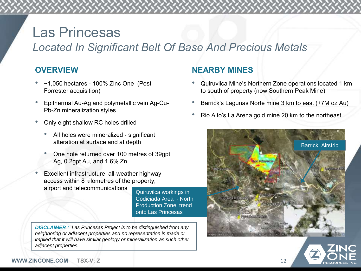# Las Princesas

### *Located In Significant Belt Of Base And Precious Metals*

### **OVERVIEW**

- $\sim$ 1,050 hectares 100% Zinc One (Post Forrester acquisition)
- Epithermal Au-Ag and polymetallic vein Ag-Cu-Pb-Zn mineralization styles
- Only eight shallow RC holes drilled
	- All holes were mineralized significant alteration at surface and at depth
	- One hole returned over 100 metres of 39gpt Ag, 0.2gpt Au, and 1.6% Zn
- Excellent infrastructure: all-weather highway access within 8 kilometres of the property, airport and telecommunications

Quiruvilca workings in Codiciada Area - North Production Zone, trend onto Las Princesas

*DISCLAIMER : Las Princesas Project is to be distinguished from any neighboring or adjacent properties and no representation is made or implied that it will have similar geology or mineralization as such other adjacent properties.*

### **NEARBY MINES**

- Quiruvilca Mine's Northern Zone operations located 1 km to south of property (now Southern Peak Mine)
- Barrick's Lagunas Norte mine 3 km to east (+7M oz Au)
- Rio Alto's La Arena gold mine 20 km to the northeast



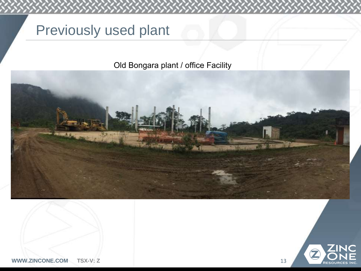# Previously used plant

### Old Bongara plant / office Facility



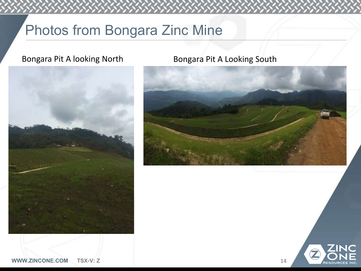# Photos from Bongara Zinc Mine



### Bongara Pit A looking North Bongara Pit A Looking South



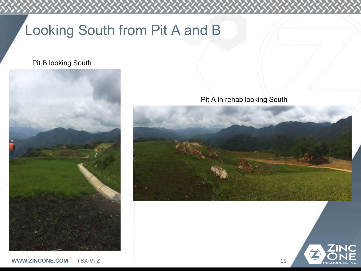# Looking South from Pit A and B

### Pit B looking South



Pit A in rehab looking South



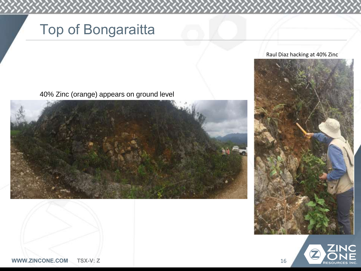# Top of Bongaraitta

40% Zinc (orange) appears on ground level







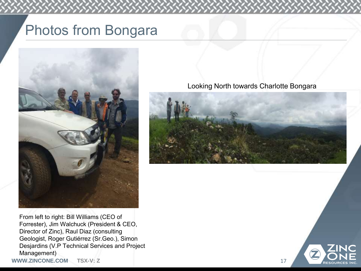# Photos from Bongara



From left to right: Bill Williams (CEO of Forrester), Jim Walchuck (President & CEO, Director of Zinc), Raul Diaz (consulting Geologist, Roger Gutiérrez (Sr.Geo.), Simon Desjardins (V.P Technical Services and Project Management)

**WWW.ZINCONE.COM TSX-V: Z** 17

#### Looking North towards Charlotte Bongara



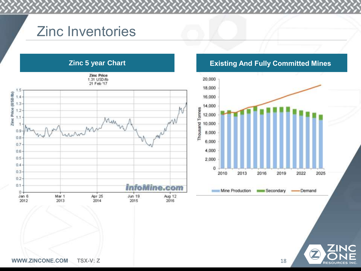# Zinc Inventories





Z

**RESOURCES INC**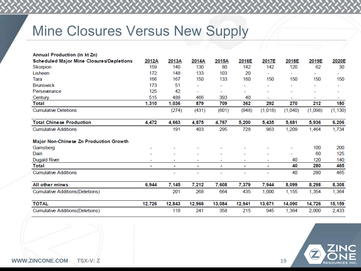# Mine Closures Versus New Supply

| Annual Production (in kt Zn)             |        |        |                          |        |        |         |         |         |          |
|------------------------------------------|--------|--------|--------------------------|--------|--------|---------|---------|---------|----------|
| Scheduled Major Mine Closures/Depletions | 2012A  | 2013A  | 2014A                    | 2015A  | 2016E  | 2017E   | 2018E   | 2019E   | 2020E    |
| Skorpion                                 | 159    | 140    | 130                      | 80     | 142    | 142     | 120     | 62      | 30       |
| Lisheen                                  | 172    | 148    | 133                      | 103    | 20     |         |         | ۰       | -        |
| Tara                                     | 166    | 167    | 150                      | 133    | 160    | 150     | 150     | 150     | 150      |
| <b>Brunswick</b>                         | 173    | 51     | $\overline{\phantom{0}}$ |        |        |         |         |         |          |
| Perseverance                             | 125    | 42     | ۰                        | -      |        |         |         | -       | ۰        |
| Century                                  | 515    | 488    | 466                      | 393    | 40     | ٠       | ۰       | ٠       | ٠        |
| Total                                    | 1,310  | 1,036  | 879                      | 709    | 362    | 292     | 270     | 212     | 180      |
| <b>Cumulative Deletions</b>              |        | (274)  | (431)                    | (601)  | (948)  | (1,018) | (1,040) | (1,098) | (1, 130) |
| <b>Total Chinese Production</b>          | 4,472  | 4,663  | 4,875                    | 4,767  | 5,200  | 5,435   | 5,681   | 5,936   | 6,206    |
| <b>Cumulative Additions</b>              |        | 191    | 403                      | 295    | 728    | 963     | 1,209   | 1,464   | 1,734    |
| Major Non-Chinese Zn Production Growth   |        |        |                          |        |        |         |         |         |          |
| Gamsberg                                 |        |        |                          |        |        |         |         | 100     | 200      |
| Dairi                                    |        |        |                          |        |        |         |         | 60      | 125      |
| <b>Dugald River</b>                      |        |        |                          | ۰      |        |         | 40      | 120     | 140      |
| <b>Total</b>                             | ۰      | ٠      | ٠                        | ٠      | ۰      | ٠       | 40      | 280     | 465      |
| <b>Cumulative Additions</b>              |        | ٠      |                          | ۳      |        |         | 40      | 280     | 465      |
| All other mines                          | 6,944  | 7,145  | 7,212                    | 7,608  | 7,379  | 7,944   | 8,099   | 8,298   | 8,308    |
| <b>Cumulative Additions (Deletions)</b>  |        | 201    | 268                      | 664    | 435    | 1,000   | 1,155   | 1,354   | 1,364    |
| <b>TOTAL</b>                             | 12,726 | 12,843 | 12,966                   | 13,084 | 12,941 | 13,671  | 14,090  | 14,726  | 15,159   |
| <b>Cumulative Additions (Deletions)</b>  |        | 118    | 241                      | 358    | 215    | 945     | 1,364   | 2,000   | 2,433    |

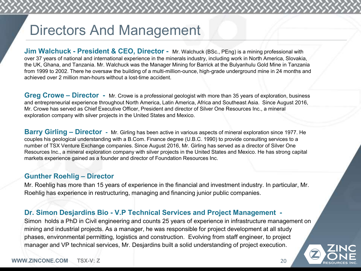# Directors And Management

**Jim Walchuck - President & CEO, Director -** Mr. Walchuck (BSc., PEng) is a mining professional with over 37 years of national and international experience in the minerals industry, including work in North America, Slovakia, the UK, Ghana, and Tanzania. Mr. Walchuck was the Manager Mining for Barrick at the Bulyanhulu Gold Mine in Tanzania from 1999 to 2002. There he oversaw the building of a multi-million-ounce, high-grade underground mine in 24 months and achieved over 2 million man-hours without a lost-time accident.

**Greg Crowe – Director -** Mr. Crowe is a professional geologist with more than 35 years of exploration, business and entrepreneurial experience throughout North America, Latin America, Africa and Southeast Asia. Since August 2016, Mr. Crowe has served as Chief Executive Officer, President and director of Silver One Resources Inc., a mineral exploration company with silver projects in the United States and Mexico.

**Barry Girling – Director -** Mr. Girling has been active in various aspects of mineral exploration since 1977. He couples his geological understanding with a B.Com. Finance degree (U.B.C. 1990) to provide consulting services to a number of TSX Venture Exchange companies. Since August 2016, Mr. Girling has served as a director of Silver One Resources Inc., a mineral exploration company with silver projects in the United States and Mexico. He has strong capital markets experience gained as a founder and director of Foundation Resources Inc.

#### **Gunther Roehlig – Director**

Mr. Roehlig has more than 15 years of experience in the financial and investment industry. In particular, Mr. Roehlig has experience in restructuring, managing and financing junior public companies.

### **Dr. Simon Desjardins Bio - V.P Technical Services and Project Management -**

Simon holds a PhD in Civil engineering and counts 25 years of experience in infrastructure management on mining and industrial projects. As a manager, he was responsible for project development at all study phases, environmental permitting, logistics and construction. Evolving from staff engineer, to project manager and VP technical services, Mr. Desjardins built a solid understanding of project execution.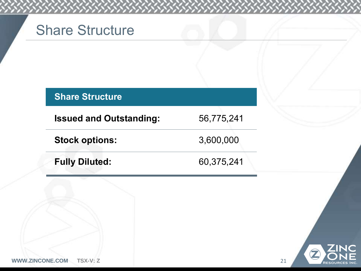# Share Structure

**Stock options:** 3,600,000

**Issued and Outstanding:** 56,775,241

**Fully Diluted:** 60,375,241